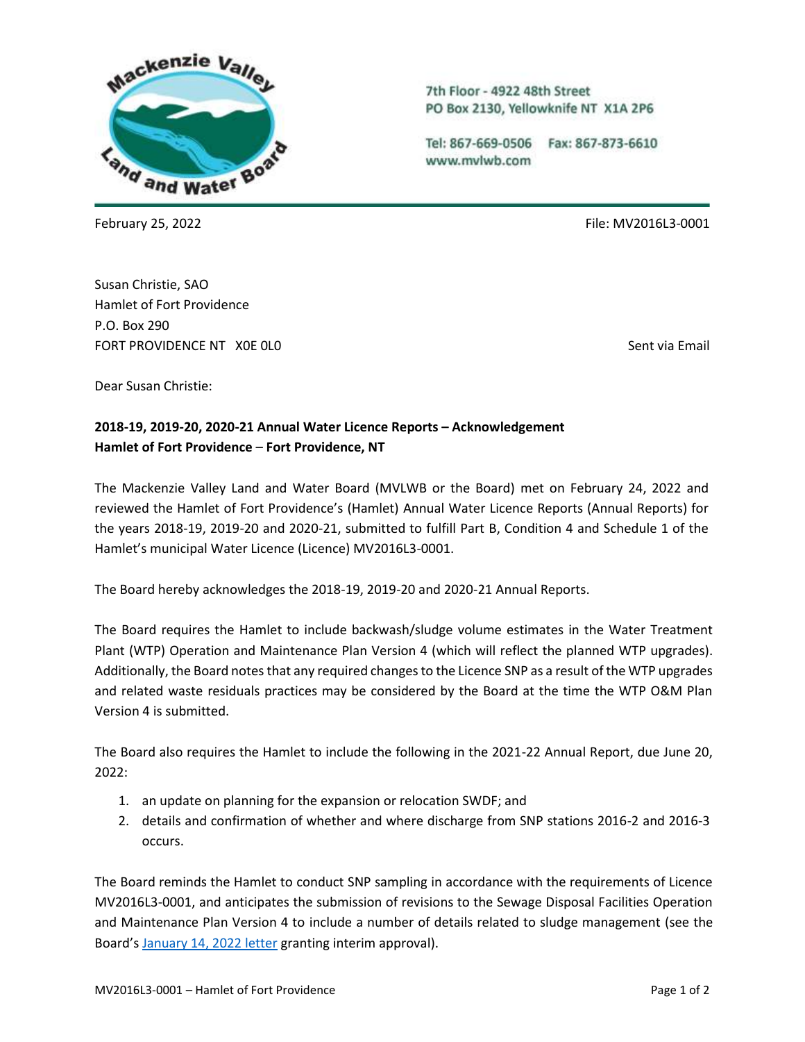

Susan Christie, SAO Hamlet of Fort Providence P.O. Box 290 FORT PROVIDENCE NT XOE OLO SENTENCE ON A SENTENCE OF SENT VIA Email

7th Floor - 4922 48th Street PO Box 2130, Yellowknife NT X1A 2P6

Tel: 867-669-0506 Fax: 867-873-6610 www.mvlwb.com

February 25, 2022 File: MV2016L3-0001

Dear Susan Christie:

## **2018-19, 2019-20, 2020-21 Annual Water Licence Reports – Acknowledgement Hamlet of Fort Providence** – **Fort Providence, NT**

The Mackenzie Valley Land and Water Board (MVLWB or the Board) met on February 24, 2022 and reviewed the Hamlet of Fort Providence's (Hamlet) Annual Water Licence Reports (Annual Reports) for the years 2018-19, 2019-20 and 2020-21, submitted to fulfill Part B, Condition 4 and Schedule 1 of the Hamlet's municipal Water Licence (Licence) MV2016L3-0001.

The Board hereby acknowledges the 2018-19, 2019-20 and 2020-21 Annual Reports.

The Board requires the Hamlet to include backwash/sludge volume estimates in the Water Treatment Plant (WTP) Operation and Maintenance Plan Version 4 (which will reflect the planned WTP upgrades). Additionally, the Board notes that any required changes to the Licence SNP as a result of the WTP upgrades and related waste residuals practices may be considered by the Board at the time the WTP O&M Plan Version 4 is submitted.

The Board also requires the Hamlet to include the following in the 2021-22 Annual Report, due June 20,  $2022:$ 

- 1. an update on planning for the expansion or relocation SWDF; and
- 2. details and confirmation of whether and where discharge from SNP stations 2016-2 and 2016-3 occurs.

The Board reminds the Hamlet to conduct SNP sampling in accordance with the requirements of Licence MV2016L3-0001, and anticipates the submission of revisions to the Sewage Disposal Facilities Operation and Maintenance Plan Version 4 to include a number of details related to sludge management (see the Board's [January 14, 2022 letter](https://registry.mvlwb.ca/Documents/MV2016L3-0001/Ft%20Providence%20-%20Resubmission%20Required%20-%20Sewage%20Disposal%20Facilities%20OM%20Plan%20V3%20-Jan14_22.pdf) granting interim approval).